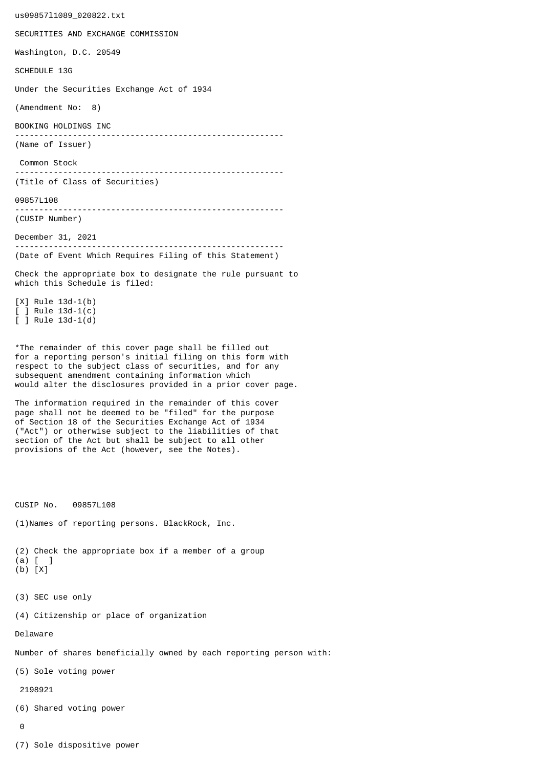us09857l1089\_020822.txt SECURITIES AND EXCHANGE COMMISSION Washington, D.C. 20549 SCHEDULE 13G Under the Securities Exchange Act of 1934 (Amendment No: 8) BOOKING HOLDINGS INC -------------------------------------------------------- (Name of Issuer) Common Stock -------------------------------------------------------- (Title of Class of Securities) 09857L108 -------------------------------------------------------- (CUSIP Number) December 31, 2021 -------------------------------------------------------- (Date of Event Which Requires Filing of this Statement) Check the appropriate box to designate the rule pursuant to which this Schedule is filed: [X] Rule 13d-1(b) [ ] Rule 13d-1(c) [ ] Rule 13d-1(d) \*The remainder of this cover page shall be filled out for a reporting person's initial filing on this form with respect to the subject class of securities, and for any subsequent amendment containing information which would alter the disclosures provided in a prior cover page. The information required in the remainder of this cover page shall not be deemed to be "filed" for the purpose of Section 18 of the Securities Exchange Act of 1934 ("Act") or otherwise subject to the liabilities of that section of the Act but shall be subject to all other provisions of the Act (however, see the Notes). CUSIP No. 09857L108 (1)Names of reporting persons. BlackRock, Inc. (2) Check the appropriate box if a member of a group (a) [ ] (b) [X] (3) SEC use only (4) Citizenship or place of organization Delaware Number of shares beneficially owned by each reporting person with: (5) Sole voting power 2198921 (6) Shared voting power  $\Omega$ 

(7) Sole dispositive power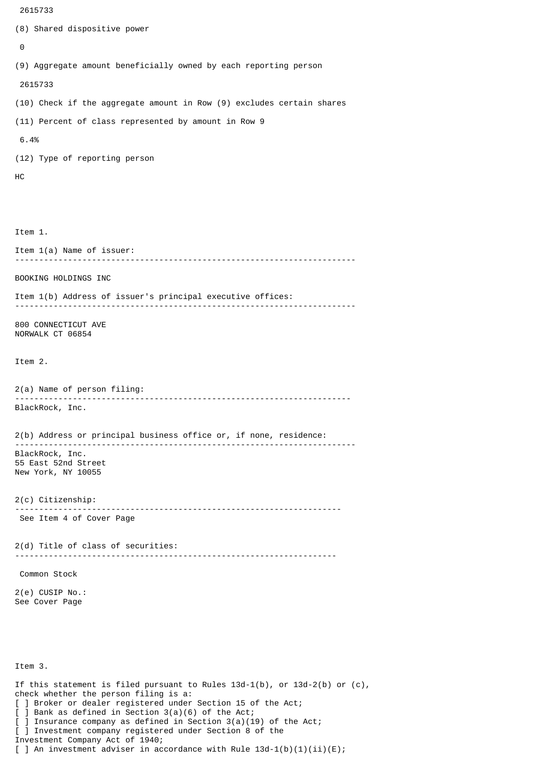```
 2615733
(8) Shared dispositive power
 \boldsymbol{\Theta}(9) Aggregate amount beneficially owned by each reporting person
  2615733
(10) Check if the aggregate amount in Row (9) excludes certain shares
(11) Percent of class represented by amount in Row 9
  6.4%
(12) Type of reporting person
HC
Item 1.
Item 1(a) Name of issuer:
           -----------------------------------------------------------------------
BOOKING HOLDINGS INC
Item 1(b) Address of issuer's principal executive offices:
 -----------------------------------------------------------------------
800 CONNECTICUT AVE
NORWALK CT 06854
Item 2.
2(a) Name of person filing:
               ----------------------------------------------------------------------
BlackRock, Inc.
2(b) Address or principal business office or, if none, residence:
 -----------------------------------------------------------------------
BlackRock, Inc.
55 East 52nd Street
New York, NY 10055
2(c) Citizenship:
                             --------------------------------------------------------------------
 See Item 4 of Cover Page
2(d) Title of class of securities:
                                       -------------------------------------------------------------------
 Common Stock
2(e) CUSIP No.:
See Cover Page
Item 3.
If this statement is filed pursuant to Rules 13d-1(b), or 13d-2(b) or (c),
```
check whether the person filing is a:

[ ] Broker or dealer registered under Section 15 of the Act; [ ] Bank as defined in Section 3(a)(6) of the Act;

] Insurance company as defined in Section  $3(a)(19)$  of the Act;

[ ] Investment company registered under Section 8 of the

Investment Company Act of 1940;

[ ] An investment adviser in accordance with Rule  $13d-1(b)(1)(ii)(E)$ ;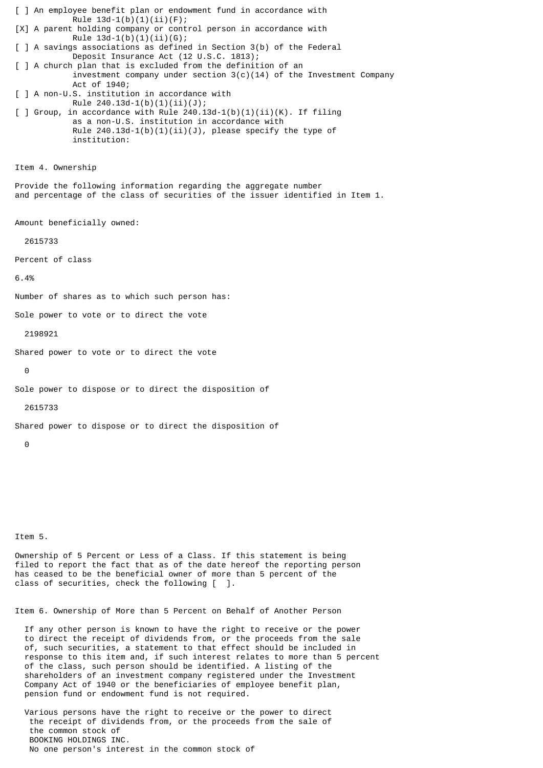[ ] An employee benefit plan or endowment fund in accordance with Rule  $13d-1(b)(1)(ii)(F);$ [X] A parent holding company or control person in accordance with Rule  $13d-1(b)(1)(ii)(G);$ [ ] A savings associations as defined in Section 3(b) of the Federal Deposit Insurance Act (12 U.S.C. 1813); [ ] A church plan that is excluded from the definition of an investment company under section  $3(c)(14)$  of the Investment Company Act of 1940; [ ] A non-U.S. institution in accordance with Rule 240.13d-1(b)(1)(ii)(J);  $\lceil$  ] Group, in accordance with Rule 240.13d-1(b)(1)(ii)(K). If filing as a non-U.S. institution in accordance with Rule  $240.13d-1(b)(1)(ii)(J)$ , please specify the type of institution: Item 4. Ownership Provide the following information regarding the aggregate number and percentage of the class of securities of the issuer identified in Item 1. Amount beneficially owned: 2615733 Percent of class 6.4% Number of shares as to which such person has: Sole power to vote or to direct the vote 2198921 Shared power to vote or to direct the vote  $\Theta$ Sole power to dispose or to direct the disposition of 2615733 Shared power to dispose or to direct the disposition of 0

Item 5.

Ownership of 5 Percent or Less of a Class. If this statement is being filed to report the fact that as of the date hereof the reporting person has ceased to be the beneficial owner of more than 5 percent of the class of securities, check the following [ ].

Item 6. Ownership of More than 5 Percent on Behalf of Another Person

 If any other person is known to have the right to receive or the power to direct the receipt of dividends from, or the proceeds from the sale of, such securities, a statement to that effect should be included in response to this item and, if such interest relates to more than 5 percent of the class, such person should be identified. A listing of the shareholders of an investment company registered under the Investment Company Act of 1940 or the beneficiaries of employee benefit plan, pension fund or endowment fund is not required.

 Various persons have the right to receive or the power to direct the receipt of dividends from, or the proceeds from the sale of the common stock of BOOKING HOLDINGS INC. No one person's interest in the common stock of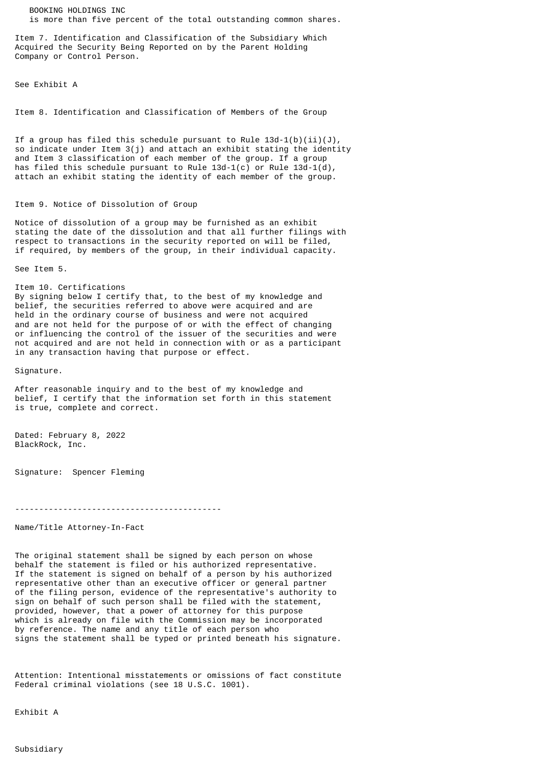BOOKING HOLDINGS INC is more than five percent of the total outstanding common shares.

Item 7. Identification and Classification of the Subsidiary Which Acquired the Security Being Reported on by the Parent Holding Company or Control Person.

See Exhibit A

Item 8. Identification and Classification of Members of the Group

If a group has filed this schedule pursuant to Rule  $13d-1(b)(ii)(J)$ , so indicate under Item 3(j) and attach an exhibit stating the identity and Item 3 classification of each member of the group. If a group has filed this schedule pursuant to Rule  $13d-1(c)$  or Rule  $13d-1(d)$ , attach an exhibit stating the identity of each member of the group.

## Item 9. Notice of Dissolution of Group

Notice of dissolution of a group may be furnished as an exhibit stating the date of the dissolution and that all further filings with respect to transactions in the security reported on will be filed, if required, by members of the group, in their individual capacity.

See Item 5.

Item 10. Certifications By signing below I certify that, to the best of my knowledge and belief, the securities referred to above were acquired and are held in the ordinary course of business and were not acquired and are not held for the purpose of or with the effect of changing or influencing the control of the issuer of the securities and were not acquired and are not held in connection with or as a participant

in any transaction having that purpose or effect.

Signature.

After reasonable inquiry and to the best of my knowledge and belief, I certify that the information set forth in this statement is true, complete and correct.

Dated: February 8, 2022 BlackRock, Inc.

Signature: Spencer Fleming

-------------------------------------------

Name/Title Attorney-In-Fact

The original statement shall be signed by each person on whose behalf the statement is filed or his authorized representative. If the statement is signed on behalf of a person by his authorized representative other than an executive officer or general partner of the filing person, evidence of the representative's authority to sign on behalf of such person shall be filed with the statement, provided, however, that a power of attorney for this purpose which is already on file with the Commission may be incorporated by reference. The name and any title of each person who signs the statement shall be typed or printed beneath his signature.

Attention: Intentional misstatements or omissions of fact constitute Federal criminal violations (see 18 U.S.C. 1001).

Exhibit A